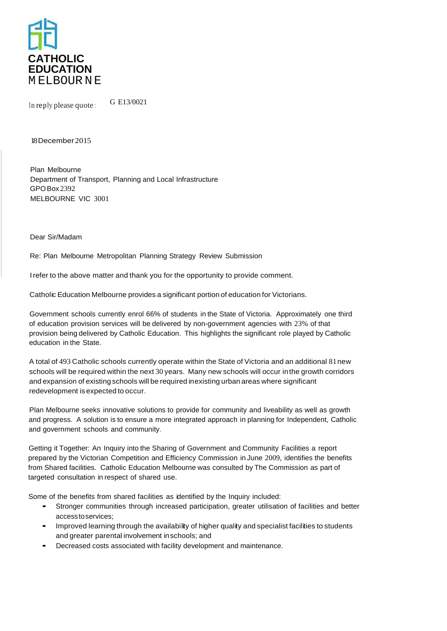

In reply please quote :  $G E13/0021$ 

## 18 December2015

Plan Melbourne Department of Transport, Planning and Local Infrastructure GPOBox 2392 MELBOURNE VIC 3001

Dear Sir/Madam

Re: Plan Melbourne Metropolitan Planning Strategy Review Submission

I refer to the above matter and thank you for the opportunity to provide comment.

Catholic Education Melbourne provides a significant portion of education for Victorians.

Government schools currently enrol 66% of students in the State of Victoria. Approximately one third of education provision services will be delivered by non-government agencies with 23% of that provision being delivered by Catholic Education. This highlights the significant role played by Catholic education in the State.

A total of 493 Catholic schools currently operate within the State of Victoria and an additional 81new schools will be required within the next 30 years. Many new schools will occur inthe growth corridors and expansion of existing schools will be required in existing urban areas where significant redevelopment is expected to occur.

Plan Melbourne seeks innovative solutions to provide for community and liveability as well as growth and progress. A solution is to ensure a more integrated approach in planning for Independent, Catholic and government schools and community.

Getting it Together: An Inquiry into the Sharing of Government and Community Facilities a report prepared by the Victorian Competition and Efficiency Commission in June 2009, identifies the benefits from Shared facilities. Catholic Education Melbourne was consulted by The Commission as part of targeted consultation in respect of shared use.

Some of the benefits from shared facilities as identified by the Inquiry included:

- Stronger communities through increased participation, greater utilisation of facilities and better accesstoservices;
- Improved learning through the availability of higher quality and specialist facilities to students and greater parental involvement in schools; and
- Decreased costs associated with facility development and maintenance.